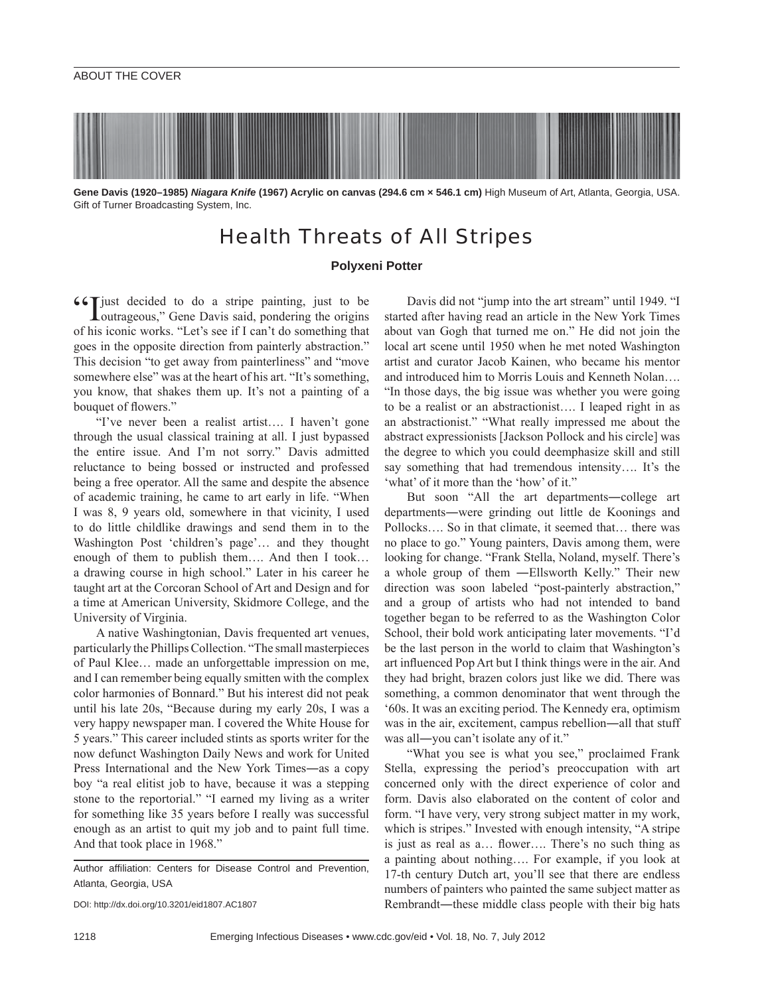**Gene Davis (1920–1985)** *Niagara Knife* **(1967) Acrylic on canvas (294.6 cm × 546.1 cm)** High Museum of Art, Atlanta, Georgia, USA. Gift of Turner Broadcasting System, Inc.

## Health Threats of All Stripes

## **Polyxeni Potter**

"I just decided to do a stripe painting, just to be outrageous," Gene Davis said, pondering the origins of his iconic works. "Let's see if I can't do something that goes in the opposite direction from painterly abstraction." This decision "to get away from painterliness" and "move somewhere else" was at the heart of his art. "It's something, you know, that shakes them up. It's not a painting of a bouquet of flowers."

"I've never been a realist artist…. I haven't gone through the usual classical training at all. I just bypassed the entire issue. And I'm not sorry." Davis admitted reluctance to being bossed or instructed and professed being a free operator. All the same and despite the absence of academic training, he came to art early in life. "When I was 8, 9 years old, somewhere in that vicinity, I used to do little childlike drawings and send them in to the Washington Post 'children's page'… and they thought enough of them to publish them…. And then I took… a drawing course in high school." Later in his career he taught art at the Corcoran School of Art and Design and for a time at American University, Skidmore College, and the University of Virginia.

A native Washingtonian, Davis frequented art venues, particularly the Phillips Collection. "The small masterpieces of Paul Klee… made an unforgettable impression on me, and I can remember being equally smitten with the complex color harmonies of Bonnard." But his interest did not peak until his late 20s, "Because during my early 20s, I was a very happy newspaper man. I covered the White House for 5 years." This career included stints as sports writer for the now defunct Washington Daily News and work for United Press International and the New York Times―as a copy boy "a real elitist job to have, because it was a stepping stone to the reportorial." "I earned my living as a writer for something like 35 years before I really was successful enough as an artist to quit my job and to paint full time. And that took place in 1968."

Author affiliation: Centers for Disease Control and Prevention, Atlanta, Georgia, USA

DOI: http://dx.doi.org/10.3201/eid1807.AC1807

Davis did not "jump into the art stream" until 1949. "I started after having read an article in the New York Times about van Gogh that turned me on." He did not join the local art scene until 1950 when he met noted Washington artist and curator Jacob Kainen, who became his mentor and introduced him to Morris Louis and Kenneth Nolan…. "In those days, the big issue was whether you were going to be a realist or an abstractionist…. I leaped right in as an abstractionist." "What really impressed me about the abstract expressionists [Jackson Pollock and his circle] was the degree to which you could deemphasize skill and still say something that had tremendous intensity…. It's the 'what' of it more than the 'how' of it."

But soon "All the art departments―college art departments―were grinding out little de Koonings and Pollocks…. So in that climate, it seemed that… there was no place to go." Young painters, Davis among them, were looking for change. "Frank Stella, Noland, myself. There's a whole group of them ―Ellsworth Kelly." Their new direction was soon labeled "post-painterly abstraction," and a group of artists who had not intended to band together began to be referred to as the Washington Color School, their bold work anticipating later movements. "I'd be the last person in the world to claim that Washington's art influenced Pop Art but I think things were in the air. And they had bright, brazen colors just like we did. There was something, a common denominator that went through the '60s. It was an exciting period. The Kennedy era, optimism was in the air, excitement, campus rebellion—all that stuff was all―you can't isolate any of it."

"What you see is what you see," proclaimed Frank Stella, expressing the period's preoccupation with art concerned only with the direct experience of color and form. Davis also elaborated on the content of color and form. "I have very, very strong subject matter in my work, which is stripes." Invested with enough intensity, "A stripe is just as real as a... flower.... There's no such thing as a painting about nothing…. For example, if you look at 17-th century Dutch art, you'll see that there are endless numbers of painters who painted the same subject matter as Rembrandt—these middle class people with their big hats